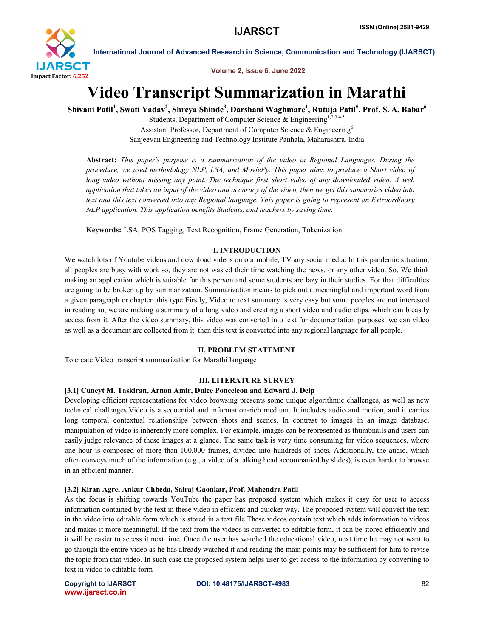

Volume 2, Issue 6, June 2022

# Video Transcript Summarization in Marathi

Shivani Patil<sup>1</sup>, Swati Yadav<sup>2</sup>, Shreya Shinde<sup>3</sup>, Darshani Waghmare<sup>4</sup>, Rutuja Patil<sup>5</sup>, Prof. S. A. Babar<sup>6</sup>

Students, Department of Computer Science & Engineering<sup>1,2,3,4,5</sup> Assistant Professor, Department of Computer Science & Engineering<sup>6</sup> Sanjeevan Engineering and Technology Institute Panhala, Maharashtra, India

Abstract: *This paper's purpose is a summarization of the video in Regional Languages. During the procedure, we used methodology NLP, LSA, and MoviePy. This paper aims to produce a Short video of long video without missing any point. The technique first short video of any downloaded video. A web application that takes an input of the video and accuracy of the video, then we get this summaries video into text and this text converted into any Regional language. This paper is going to represent an Extraordinary NLP application. This application benefits Students, and teachers by saving time.*

Keywords: LSA, POS Tagging, Text Recognition, Frame Generation, Tokenization

# I. INTRODUCTION

We watch lots of Youtube videos and download videos on our mobile, TV any social media. In this pandemic situation, all peoples are busy with work so, they are not wasted their time watching the news, or any other video. So, We think making an application which is suitable for this person and some students are lazy in their studies. For that difficulties are going to be broken up by summarization. Summarization means to pick out a meaningful and important word from a given paragraph or chapter .this type Firstly, Video to text summary is very easy but some peoples are not interested in reading so, we are making a summary of a long video and creating a short video and audio clips. which can b easily access from it. After the video summary, this video was converted into text for documentation purposes. we can video as well as a document are collected from it. then this text is converted into any regional language for all people.

# II. PROBLEM STATEMENT

To create Video transcript summarization for Marathi language

# III. LITERATURE SURVEY

# [3.1] Cuneyt M. Taskiran, Arnon Amir, Dulce Ponceleon and Edward J. Delp

Developing efficient representations for video browsing presents some unique algorithmic challenges, as well as new technical challenges.Video is a sequential and information-rich medium. It includes audio and motion, and it carries long temporal contextual relationships between shots and scenes. In contrast to images in an image database, manipulation of video is inherently more complex. For example, images can be represented as thumbnails and users can easily judge relevance of these images at a glance. The same task is very time consuming for video sequences, where one hour is composed of more than 100,000 frames, divided into hundreds of shots. Additionally, the audio, which often conveys much of the information (e.g., a video of a talking head accompanied by slides), is even harder to browse in an efficient manner.

### [3.2] Kiran Agre, Ankur Chheda, Sairaj Gaonkar, Prof. Mahendra Patil

As the focus is shifting towards YouTube the paper has proposed system which makes it easy for user to access information contained by the text in these video in efficient and quicker way. The proposed system will convert the text in the video into editable form which is stored in a text file.These videos contain text which adds information to videos and makes it more meaningful. If the text from the videos is converted to editable form, it can be stored efficiently and it will be easier to access it next time. Once the user has watched the educational video, next time he may not want to go through the entire video as he has already watched it and reading the main points may be sufficient for him to revise the topic from that video. In such case the proposed system helps user to get access to the information by converting to text in video to editable form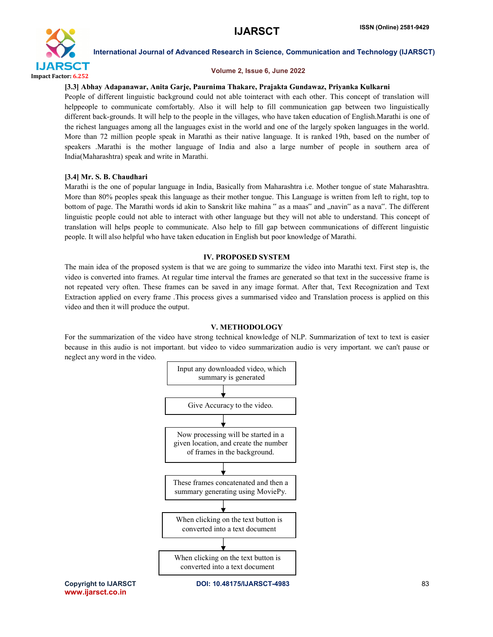

### Volume 2, Issue 6, June 2022

# [3.3] Abhay Adapanawar, Anita Garje, Paurnima Thakare, Prajakta Gundawaz, Priyanka Kulkarni

People of different linguistic background could not able tointeract with each other. This concept of translation will helppeople to communicate comfortably. Also it will help to fill communication gap between two linguistically different back-grounds. It will help to the people in the villages, who have taken education of English.Marathi is one of the richest languages among all the languages exist in the world and one of the largely spoken languages in the world. More than 72 million people speak in Marathi as their native language. It is ranked 19th, based on the number of speakers .Marathi is the mother language of India and also a large number of people in southern area of India(Maharashtra) speak and write in Marathi.

# [3.4] Mr. S. B. Chaudhari

Marathi is the one of popular language in India, Basically from Maharashtra i.e. Mother tongue of state Maharashtra. More than 80% peoples speak this language as their mother tongue. This Language is written from left to right, top to bottom of page. The Marathi words id akin to Sanskrit like mahina " as a maas" and "navin" as a nava". The different linguistic people could not able to interact with other language but they will not able to understand. This concept of translation will helps people to communicate. Also help to fill gap between communications of different linguistic people. It will also helpful who have taken education in English but poor knowledge of Marathi.

### IV. PROPOSED SYSTEM

The main idea of the proposed system is that we are going to summarize the video into Marathi text. First step is, the video is converted into frames. At regular time interval the frames are generated so that text in the successive frame is not repeated very often. These frames can be saved in any image format. After that, Text Recognization and Text Extraction applied on every frame .This process gives a summarised video and Translation process is applied on this video and then it will produce the output.

# V. METHODOLOGY

For the summarization of the video have strong technical knowledge of NLP. Summarization of text to text is easier because in this audio is not important. but video to video summarization audio is very important. we can't pause or neglect any word in the video.



www.ijarsct.co.in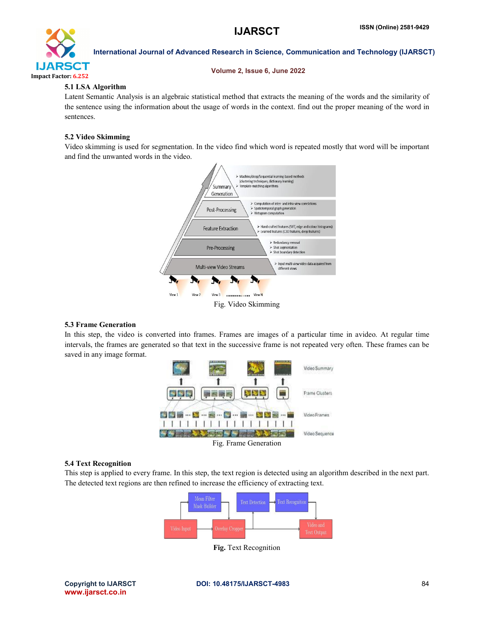

#### Volume 2, Issue 6, June 2022

# 5.1 LSA Algorithm

Latent Semantic Analysis is an algebraic statistical method that extracts the meaning of the words and the similarity of the sentence using the information about the usage of words in the context. find out the proper meaning of the word in sentences.

# 5.2 Video Skimming

Video skimming is used for segmentation. In the video find which word is repeated mostly that word will be important and find the unwanted words in the video.



### 5.3 Frame Generation

In this step, the video is converted into frames. Frames are images of a particular time in avideo. At regular time intervals, the frames are generated so that text in the successive frame is not repeated very often. These frames can be saved in any image format.



### 5.4 Text Recognition

This step is applied to every frame. In this step, the text region is detected using an algorithm described in the next part. The detected text regions are then refined to increase the efficiency of extracting text.



Fig. Text Recognition

www.ijarsct.co.in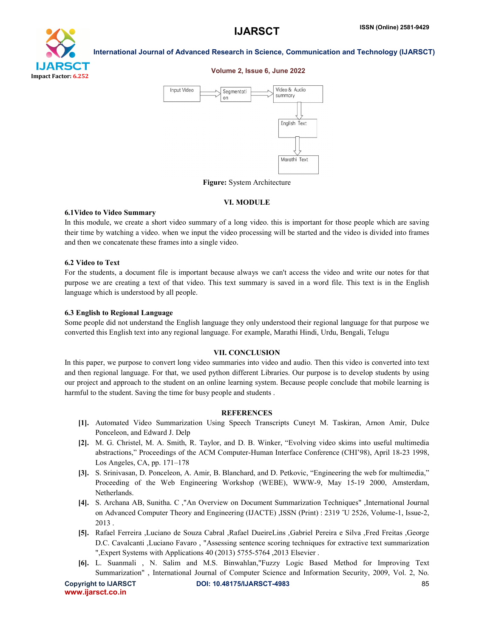

#### Volume 2, Issue 6, June 2022



Figure: System Architecture

#### VI. MODULE

#### 6.1Video to Video Summary

In this module, we create a short video summary of a long video. this is important for those people which are saving their time by watching a video. when we input the video processing will be started and the video is divided into frames and then we concatenate these frames into a single video.

#### 6.2 Video to Text

For the students, a document file is important because always we can't access the video and write our notes for that purpose we are creating a text of that video. This text summary is saved in a word file. This text is in the English language which is understood by all people.

#### 6.3 English to Regional Language

Some people did not understand the English language they only understood their regional language for that purpose we converted this English text into any regional language. For example, Marathi Hindi, Urdu, Bengali, Telugu

#### VII. CONCLUSION

In this paper, we purpose to convert long video summaries into video and audio. Then this video is converted into text and then regional language. For that, we used python different Libraries. Our purpose is to develop students by using our project and approach to the student on an online learning system. Because people conclude that mobile learning is harmful to the student. Saving the time for busy people and students .

#### **REFERENCES**

- [1]. Automated Video Summarization Using Speech Transcripts Cuneyt M. Taskiran, Arnon Amir, Dulce Ponceleon, and Edward J. Delp
- [2]. M. G. Christel, M. A. Smith, R. Taylor, and D. B. Winker, "Evolving video skims into useful multimedia abstractions," Proceedings of the ACM Computer-Human Interface Conference (CHI'98), April 18-23 1998, Los Angeles, CA, pp. 171–178
- [3]. S. Srinivasan, D. Ponceleon, A. Amir, B. Blanchard, and D. Petkovic, "Engineering the web for multimedia," Proceeding of the Web Engineering Workshop (WEBE), WWW-9, May 15-19 2000, Amsterdam, Netherlands.
- [4]. S. Archana AB, Sunitha. C ,"An Overview on Document Summarization Techniques" ,International Journal on Advanced Computer Theory and Engineering (IJACTE) ,ISSN (Print) : 2319 ˝U 2526, Volume-1, Issue-2, 2013 .
- [5]. Rafael Ferreira ,Luciano de Souza Cabral ,Rafael DueireLins ,Gabriel Pereira e Silva ,Fred Freitas ,George D.C. Cavalcanti ,Luciano Favaro , "Assessing sentence scoring techniques for extractive text summarization ",Expert Systems with Applications 40 (2013) 5755-5764 ,2013 Elsevier .
- [6]. L. Suanmali , N. Salim and M.S. Binwahlan,"Fuzzy Logic Based Method for Improving Text Summarization" , International Journal of Computer Science and Information Security, 2009, Vol. 2, No.

www.ijarsct.co.in